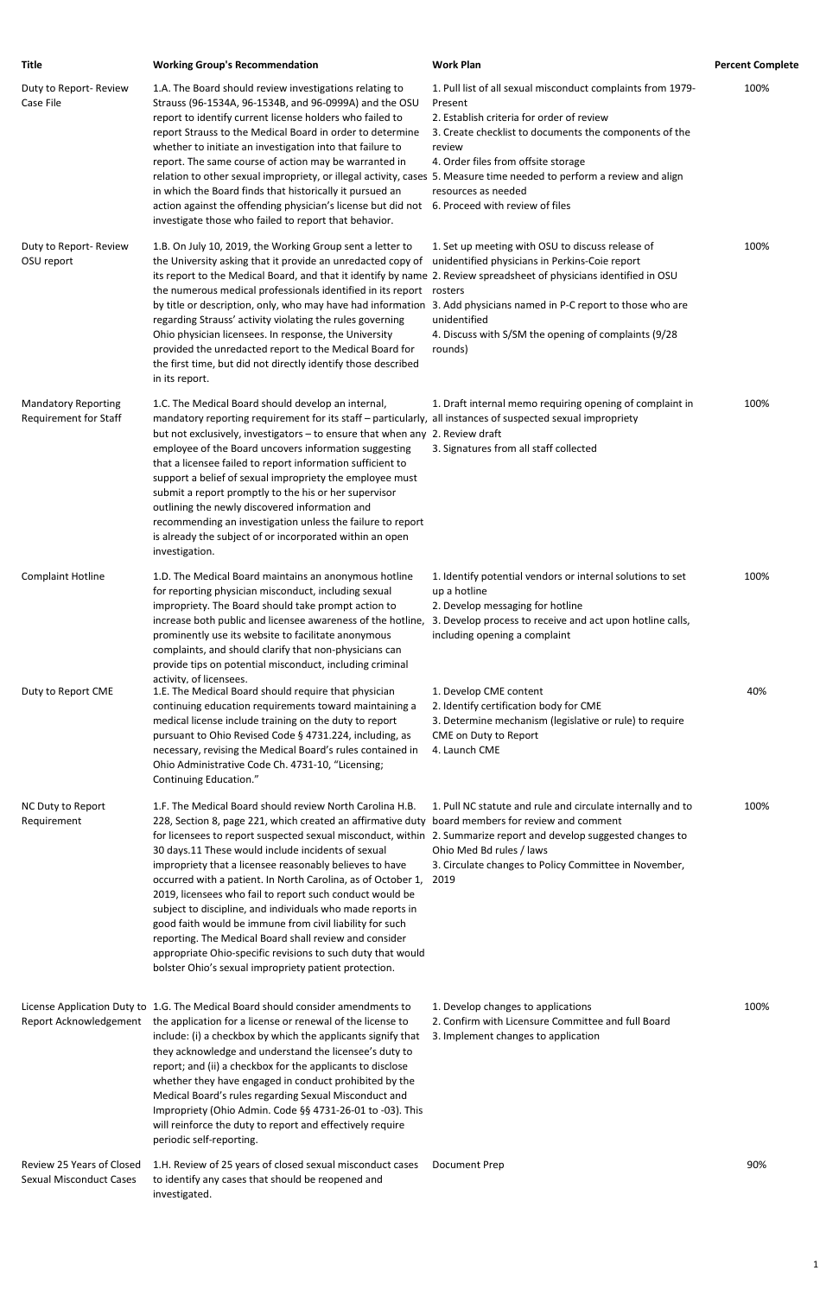| <b>Title</b>                                        | <b>Working Group's Recommendation</b>                                                                                                                                                                                                                                                                                                                                                                                                                                                                                                                                                                                                                                                                             | <b>Work Plan</b>                                                                                                                                                                                                                                                                         | <b>Percent Complete</b> |
|-----------------------------------------------------|-------------------------------------------------------------------------------------------------------------------------------------------------------------------------------------------------------------------------------------------------------------------------------------------------------------------------------------------------------------------------------------------------------------------------------------------------------------------------------------------------------------------------------------------------------------------------------------------------------------------------------------------------------------------------------------------------------------------|------------------------------------------------------------------------------------------------------------------------------------------------------------------------------------------------------------------------------------------------------------------------------------------|-------------------------|
| Duty to Report- Review<br>Case File                 | 1.A. The Board should review investigations relating to<br>Strauss (96-1534A, 96-1534B, and 96-0999A) and the OSU<br>report to identify current license holders who failed to<br>report Strauss to the Medical Board in order to determine<br>whether to initiate an investigation into that failure to<br>report. The same course of action may be warranted in<br>relation to other sexual impropriety, or illegal activity, cases 5. Measure time needed to perform a review and align<br>in which the Board finds that historically it pursued an<br>action against the offending physician's license but did not<br>investigate those who failed to report that behavior.                                    | 1. Pull list of all sexual misconduct complaints from 1979-<br>Present<br>2. Establish criteria for order of review<br>3. Create checklist to documents the components of the<br>review<br>4. Order files from offsite storage<br>resources as needed<br>6. Proceed with review of files | 100%                    |
| Duty to Report- Review<br>OSU report                | 1.B. On July 10, 2019, the Working Group sent a letter to<br>the University asking that it provide an unredacted copy of<br>its report to the Medical Board, and that it identify by name 2. Review spreadsheet of physicians identified in OSU<br>the numerous medical professionals identified in its report rosters<br>by title or description, only, who may have had information 3. Add physicians named in P-C report to those who are<br>regarding Strauss' activity violating the rules governing<br>Ohio physician licensees. In response, the University<br>provided the unredacted report to the Medical Board for<br>the first time, but did not directly identify those described<br>in its report.  | 1. Set up meeting with OSU to discuss release of<br>unidentified physicians in Perkins-Coie report<br>unidentified<br>4. Discuss with S/SM the opening of complaints (9/28<br>rounds)                                                                                                    | 100%                    |
| <b>Mandatory Reporting</b><br>Requirement for Staff | 1.C. The Medical Board should develop an internal,<br>mandatory reporting requirement for its staff - particularly, all instances of suspected sexual impropriety<br>but not exclusively, investigators - to ensure that when any 2. Review draft<br>employee of the Board uncovers information suggesting<br>that a licensee failed to report information sufficient to<br>support a belief of sexual impropriety the employee must<br>submit a report promptly to the his or her supervisor<br>outlining the newly discovered information and<br>recommending an investigation unless the failure to report<br>is already the subject of or incorporated within an open<br>investigation.                       | 1. Draft internal memo requiring opening of complaint in<br>3. Signatures from all staff collected                                                                                                                                                                                       | 100%                    |
| <b>Complaint Hotline</b>                            | 1.D. The Medical Board maintains an anonymous hotline<br>for reporting physician misconduct, including sexual<br>impropriety. The Board should take prompt action to<br>increase both public and licensee awareness of the hotline,<br>prominently use its website to facilitate anonymous<br>complaints, and should clarify that non-physicians can<br>provide tips on potential misconduct, including criminal                                                                                                                                                                                                                                                                                                  | 1. Identify potential vendors or internal solutions to set<br>up a hotline<br>2. Develop messaging for hotline<br>3. Develop process to receive and act upon hotline calls,<br>including opening a complaint                                                                             | 100%                    |
| Duty to Report CME                                  | activity. of licensees.<br>1.E. The Medical Board should require that physician<br>continuing education requirements toward maintaining a<br>medical license include training on the duty to report<br>pursuant to Ohio Revised Code § 4731.224, including, as<br>necessary, revising the Medical Board's rules contained in<br>Ohio Administrative Code Ch. 4731-10, "Licensing;<br>Continuing Education."                                                                                                                                                                                                                                                                                                       | 1. Develop CME content<br>2. Identify certification body for CME<br>3. Determine mechanism (legislative or rule) to require<br>CME on Duty to Report<br>4. Launch CME                                                                                                                    | 40%                     |
| NC Duty to Report<br>Requirement                    | 1.F. The Medical Board should review North Carolina H.B.<br>228, Section 8, page 221, which created an affirmative duty board members for review and comment<br>for licensees to report suspected sexual misconduct, within 2. Summarize report and develop suggested changes to<br>30 days.11 These would include incidents of sexual<br>impropriety that a licensee reasonably believes to have<br>occurred with a patient. In North Carolina, as of October 1,<br>2019, licensees who fail to report such conduct would be<br>subject to discipline, and individuals who made reports in<br>good faith would be immune from civil liability for such<br>reporting. The Medical Board shall review and consider | 1. Pull NC statute and rule and circulate internally and to<br>Ohio Med Bd rules / laws<br>3. Circulate changes to Policy Committee in November,<br>2019                                                                                                                                 | 100%                    |

Review 25 Years of Closed 1.H. Review of 25 years of closed sexual misconduct cases Sexual Misconduct Cases to identify any cases that should be reopened and investigated. Document Prep 80%

appropriate Ohio-specific revisions to such duty that would bolster Ohio's sexual impropriety patient protection.

License Application Duty to 1.G. The Medical Board should consider amendments to Report Acknowledgement the application for a license or renewal of the license to include: (i) a checkbox by which the applicants signify that they acknowledge and understand the licensee's duty to report; and (ii) a checkbox for the applicants to disclose whether they have engaged in conduct prohibited by the Medical Board's rules regarding Sexual Misconduct and Impropriety (Ohio Admin. Code §§ 4731-26-01 to -03). This will reinforce the duty to report and effectively require periodic self-reporting.

- 1. Develop changes to applications
- 2. Confirm with Licensure Committee and full Board
- 3. Implement changes to application

100%

1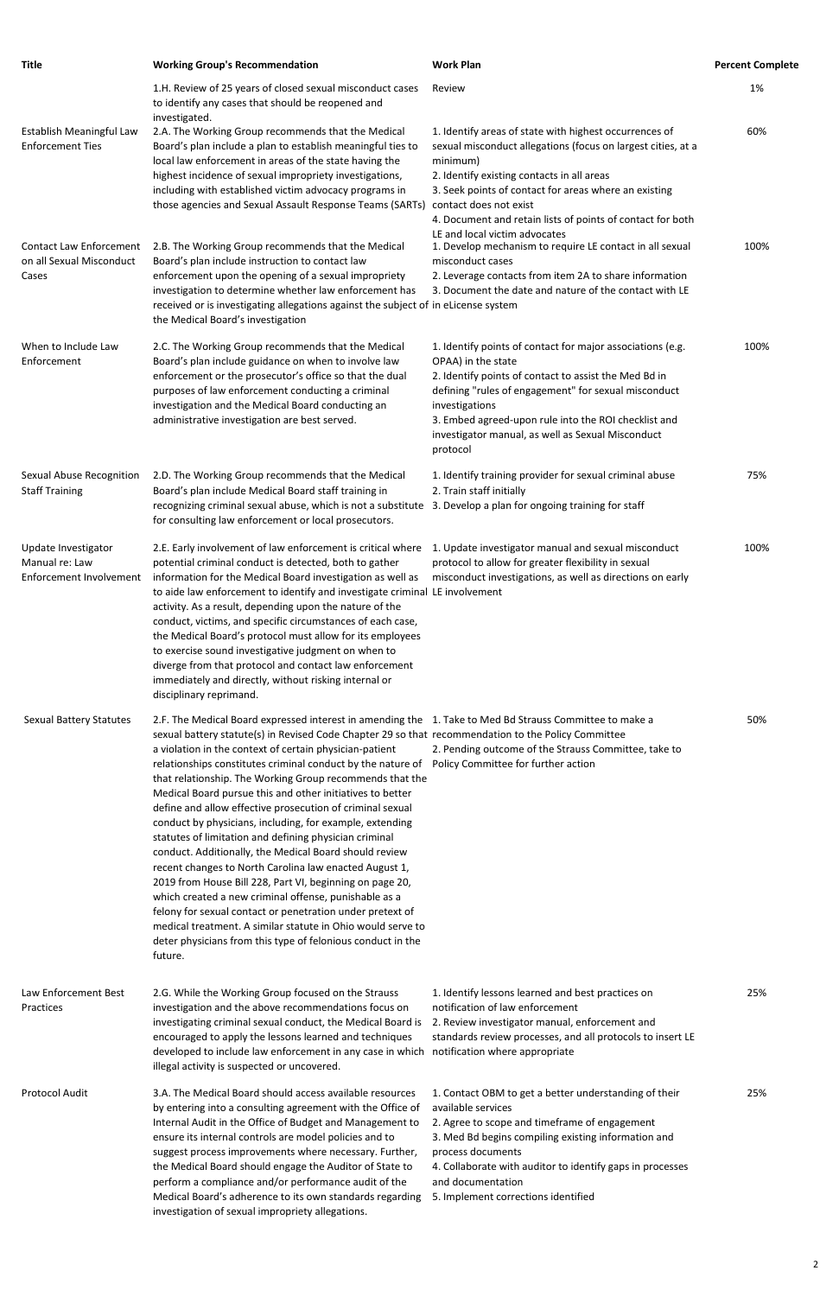| <b>Title</b>                                                        | <b>Working Group's Recommendation</b>                                                                                                                                                                                                                                                                                                                                                                                                                                                                                                                                                                                                                                                                                                                                                                                                                                                                                                                                                                                                                                                    | <b>Work Plan</b>                                                                                                                                                                                                                                                                                                                             | <b>Percent Complete</b> |
|---------------------------------------------------------------------|------------------------------------------------------------------------------------------------------------------------------------------------------------------------------------------------------------------------------------------------------------------------------------------------------------------------------------------------------------------------------------------------------------------------------------------------------------------------------------------------------------------------------------------------------------------------------------------------------------------------------------------------------------------------------------------------------------------------------------------------------------------------------------------------------------------------------------------------------------------------------------------------------------------------------------------------------------------------------------------------------------------------------------------------------------------------------------------|----------------------------------------------------------------------------------------------------------------------------------------------------------------------------------------------------------------------------------------------------------------------------------------------------------------------------------------------|-------------------------|
| Establish Meaningful Law<br><b>Enforcement Ties</b>                 | 1.H. Review of 25 years of closed sexual misconduct cases<br>to identify any cases that should be reopened and<br>investigated.<br>2.A. The Working Group recommends that the Medical<br>Board's plan include a plan to establish meaningful ties to<br>local law enforcement in areas of the state having the<br>highest incidence of sexual impropriety investigations,<br>including with established victim advocacy programs in<br>those agencies and Sexual Assault Response Teams (SARTs)                                                                                                                                                                                                                                                                                                                                                                                                                                                                                                                                                                                          | Review<br>1. Identify areas of state with highest occurrences of<br>sexual misconduct allegations (focus on largest cities, at a<br>minimum)<br>2. Identify existing contacts in all areas<br>3. Seek points of contact for areas where an existing<br>contact does not exist                                                                | 1%<br>60%               |
| <b>Contact Law Enforcement</b><br>on all Sexual Misconduct<br>Cases | 2.B. The Working Group recommends that the Medical<br>Board's plan include instruction to contact law<br>enforcement upon the opening of a sexual impropriety<br>investigation to determine whether law enforcement has<br>received or is investigating allegations against the subject of in eLicense system<br>the Medical Board's investigation                                                                                                                                                                                                                                                                                                                                                                                                                                                                                                                                                                                                                                                                                                                                       | 4. Document and retain lists of points of contact for both<br>LE and local victim advocates<br>1. Develop mechanism to require LE contact in all sexual<br>misconduct cases<br>2. Leverage contacts from item 2A to share information<br>3. Document the date and nature of the contact with LE                                              | 100%                    |
| When to Include Law<br>Enforcement                                  | 2.C. The Working Group recommends that the Medical<br>Board's plan include guidance on when to involve law<br>enforcement or the prosecutor's office so that the dual<br>purposes of law enforcement conducting a criminal<br>investigation and the Medical Board conducting an<br>administrative investigation are best served.                                                                                                                                                                                                                                                                                                                                                                                                                                                                                                                                                                                                                                                                                                                                                         | 1. Identify points of contact for major associations (e.g.<br>OPAA) in the state<br>2. Identify points of contact to assist the Med Bd in<br>defining "rules of engagement" for sexual misconduct<br>investigations<br>3. Embed agreed-upon rule into the ROI checklist and<br>investigator manual, as well as Sexual Misconduct<br>protocol | 100%                    |
| Sexual Abuse Recognition<br><b>Staff Training</b>                   | 2.D. The Working Group recommends that the Medical<br>Board's plan include Medical Board staff training in<br>recognizing criminal sexual abuse, which is not a substitute<br>for consulting law enforcement or local prosecutors.                                                                                                                                                                                                                                                                                                                                                                                                                                                                                                                                                                                                                                                                                                                                                                                                                                                       | 1. Identify training provider for sexual criminal abuse<br>2. Train staff initially<br>3. Develop a plan for ongoing training for staff                                                                                                                                                                                                      | 75%                     |
| Update Investigator<br>Manual re: Law<br>Enforcement Involvement    | 2.E. Early involvement of law enforcement is critical where<br>potential criminal conduct is detected, both to gather<br>information for the Medical Board investigation as well as<br>to aide law enforcement to identify and investigate criminal LE involvement<br>activity. As a result, depending upon the nature of the<br>conduct, victims, and specific circumstances of each case,<br>the Medical Board's protocol must allow for its employees<br>to exercise sound investigative judgment on when to<br>diverge from that protocol and contact law enforcement<br>immediately and directly, without risking internal or<br>disciplinary reprimand.                                                                                                                                                                                                                                                                                                                                                                                                                            | 1. Update investigator manual and sexual misconduct<br>protocol to allow for greater flexibility in sexual<br>misconduct investigations, as well as directions on early                                                                                                                                                                      | 100%                    |
| <b>Sexual Battery Statutes</b>                                      | 2.F. The Medical Board expressed interest in amending the 1. Take to Med Bd Strauss Committee to make a<br>sexual battery statute(s) in Revised Code Chapter 29 so that recommendation to the Policy Committee<br>a violation in the context of certain physician-patient<br>relationships constitutes criminal conduct by the nature of<br>that relationship. The Working Group recommends that the<br>Medical Board pursue this and other initiatives to better<br>define and allow effective prosecution of criminal sexual<br>conduct by physicians, including, for example, extending<br>statutes of limitation and defining physician criminal<br>conduct. Additionally, the Medical Board should review<br>recent changes to North Carolina law enacted August 1,<br>2019 from House Bill 228, Part VI, beginning on page 20,<br>which created a new criminal offense, punishable as a<br>felony for sexual contact or penetration under pretext of<br>medical treatment. A similar statute in Ohio would serve to<br>deter physicians from this type of felonious conduct in the | 2. Pending outcome of the Strauss Committee, take to<br>Policy Committee for further action                                                                                                                                                                                                                                                  | 50%                     |

## future.

25%

Law Enforcement Best Practices 2.G. While the Working Group focused on the Strauss investigation and the above recommendations focus on investigating criminal sexual conduct, the Medical Board is encouraged to apply the lessons learned and techniques developed to include law enforcement in any case in which notification where appropriate illegal activity is suspected or uncovered. 1. Identify lessons learned and best practices on notification of law enforcement 2. Review investigator manual, enforcement and standards review processes, and all protocols to insert LE Protocol Audit 3.A. The Medical Board should access available resources by entering into a consulting agreement with the Office of Internal Audit in the Office of Budget and Management to ensure its internal controls are model policies and to suggest process improvements where necessary. Further, the Medical Board should engage the Auditor of State to perform a compliance and/or performance audit of the Medical Board's adherence to its own standards regarding 5. Implement corrections identified investigation of sexual impropriety allegations. 1. Contact OBM to get a better understanding of their available services 2. Agree to scope and timeframe of engagement 3. Med Bd begins compiling existing information and process documents 4. Collaborate with auditor to identify gaps in processes and documentation

25%

2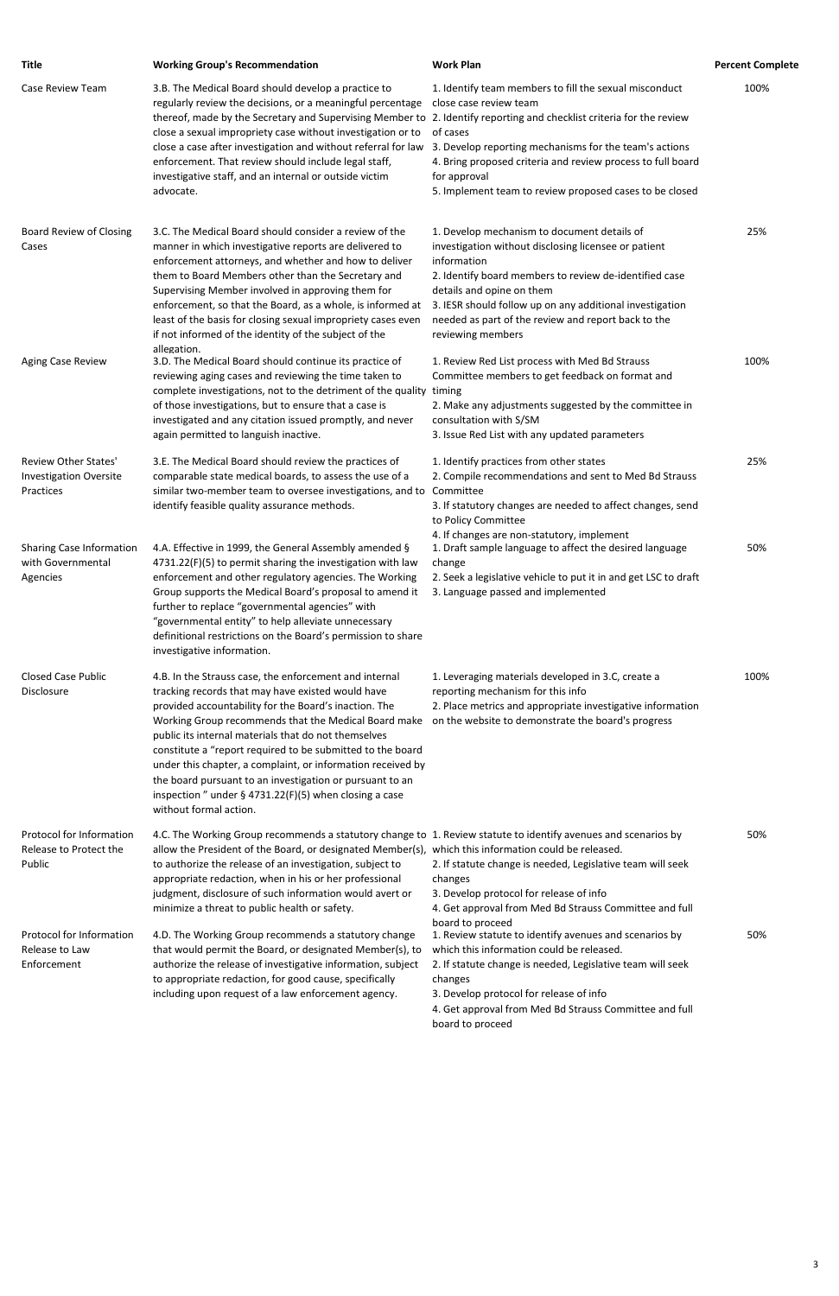| Title                                                                     | <b>Working Group's Recommendation</b>                                                                                                                                                                                                                                                                                                                                                                                                                                                                                                                                | <b>Work Plan</b>                                                                                                                                                                                                                                                                                                                                  | <b>Percent Complete</b> |
|---------------------------------------------------------------------------|----------------------------------------------------------------------------------------------------------------------------------------------------------------------------------------------------------------------------------------------------------------------------------------------------------------------------------------------------------------------------------------------------------------------------------------------------------------------------------------------------------------------------------------------------------------------|---------------------------------------------------------------------------------------------------------------------------------------------------------------------------------------------------------------------------------------------------------------------------------------------------------------------------------------------------|-------------------------|
| Case Review Team                                                          | 3.B. The Medical Board should develop a practice to<br>regularly review the decisions, or a meaningful percentage<br>thereof, made by the Secretary and Supervising Member to 2. Identify reporting and checklist criteria for the review<br>close a sexual impropriety case without investigation or to<br>close a case after investigation and without referral for law<br>enforcement. That review should include legal staff,<br>investigative staff, and an internal or outside victim<br>advocate.                                                             | 1. Identify team members to fill the sexual misconduct<br>close case review team<br>of cases<br>3. Develop reporting mechanisms for the team's actions<br>4. Bring proposed criteria and review process to full board<br>for approval<br>5. Implement team to review proposed cases to be closed                                                  | 100%                    |
| <b>Board Review of Closing</b><br>Cases                                   | 3.C. The Medical Board should consider a review of the<br>manner in which investigative reports are delivered to<br>enforcement attorneys, and whether and how to deliver<br>them to Board Members other than the Secretary and<br>Supervising Member involved in approving them for<br>enforcement, so that the Board, as a whole, is informed at<br>least of the basis for closing sexual impropriety cases even<br>if not informed of the identity of the subject of the                                                                                          | 1. Develop mechanism to document details of<br>investigation without disclosing licensee or patient<br>information<br>2. Identify board members to review de-identified case<br>details and opine on them<br>3. IESR should follow up on any additional investigation<br>needed as part of the review and report back to the<br>reviewing members | 25%                     |
| Aging Case Review                                                         | allegation.<br>3.D. The Medical Board should continue its practice of<br>reviewing aging cases and reviewing the time taken to<br>complete investigations, not to the detriment of the quality<br>of those investigations, but to ensure that a case is<br>investigated and any citation issued promptly, and never<br>again permitted to languish inactive.                                                                                                                                                                                                         | 1. Review Red List process with Med Bd Strauss<br>Committee members to get feedback on format and<br>timing<br>2. Make any adjustments suggested by the committee in<br>consultation with S/SM<br>3. Issue Red List with any updated parameters                                                                                                   | 100%                    |
| <b>Review Other States'</b><br><b>Investigation Oversite</b><br>Practices | 3.E. The Medical Board should review the practices of<br>comparable state medical boards, to assess the use of a<br>similar two-member team to oversee investigations, and to<br>identify feasible quality assurance methods.                                                                                                                                                                                                                                                                                                                                        | 1. Identify practices from other states<br>2. Compile recommendations and sent to Med Bd Strauss<br>Committee<br>3. If statutory changes are needed to affect changes, send<br>to Policy Committee                                                                                                                                                | 25%                     |
| Sharing Case Information<br>with Governmental<br>Agencies                 | 4.A. Effective in 1999, the General Assembly amended §<br>4731.22(F)(5) to permit sharing the investigation with law<br>enforcement and other regulatory agencies. The Working<br>Group supports the Medical Board's proposal to amend it<br>further to replace "governmental agencies" with<br>"governmental entity" to help alleviate unnecessary<br>definitional restrictions on the Board's permission to share<br>investigative information.                                                                                                                    | 4. If changes are non-statutory, implement<br>1. Draft sample language to affect the desired language<br>change<br>2. Seek a legislative vehicle to put it in and get LSC to draft<br>3. Language passed and implemented                                                                                                                          | 50%                     |
| <b>Closed Case Public</b><br>Disclosure                                   | 4.B. In the Strauss case, the enforcement and internal<br>tracking records that may have existed would have<br>provided accountability for the Board's inaction. The<br>Working Group recommends that the Medical Board make<br>public its internal materials that do not themselves<br>constitute a "report required to be submitted to the board<br>under this chapter, a complaint, or information received by<br>the board pursuant to an investigation or pursuant to an<br>inspection " under $\S$ 4731.22(F)(5) when closing a case<br>without formal action. | 1. Leveraging materials developed in 3.C, create a<br>reporting mechanism for this info<br>2. Place metrics and appropriate investigative information<br>on the website to demonstrate the board's progress                                                                                                                                       | 100%                    |
| Protocol for Information<br>Release to Protect the<br>Public              | 4.C. The Working Group recommends a statutory change to 1. Review statute to identify avenues and scenarios by<br>allow the President of the Board, or designated Member(s), which this information could be released.<br>to authorize the release of an investigation, subject to<br>appropriate redaction, when in his or her professional<br>judgment, disclosure of such information would avert or<br>minimize a threat to public health or safety.                                                                                                             | 2. If statute change is needed, Legislative team will seek<br>changes<br>3. Develop protocol for release of info<br>4. Get approval from Med Bd Strauss Committee and full                                                                                                                                                                        | 50%                     |
| Protocol for Information                                                  | 4.D. The Working Group recommends a statutory change                                                                                                                                                                                                                                                                                                                                                                                                                                                                                                                 | board to proceed<br>1. Review statute to identify avenues and scenarios by                                                                                                                                                                                                                                                                        | 50%                     |

Release to Law Enforcement

that would permit the Board, or designated Member(s), to which this information could be released. authorize the release of investigative information, subject 2. If statute change is needed, Legislative team will seek to appropriate redaction, for good cause, specifically including upon request of a law enforcement agency.

changes

3. Develop protocol for release of info

4. Get approval from Med Bd Strauss Committee and full board to proceed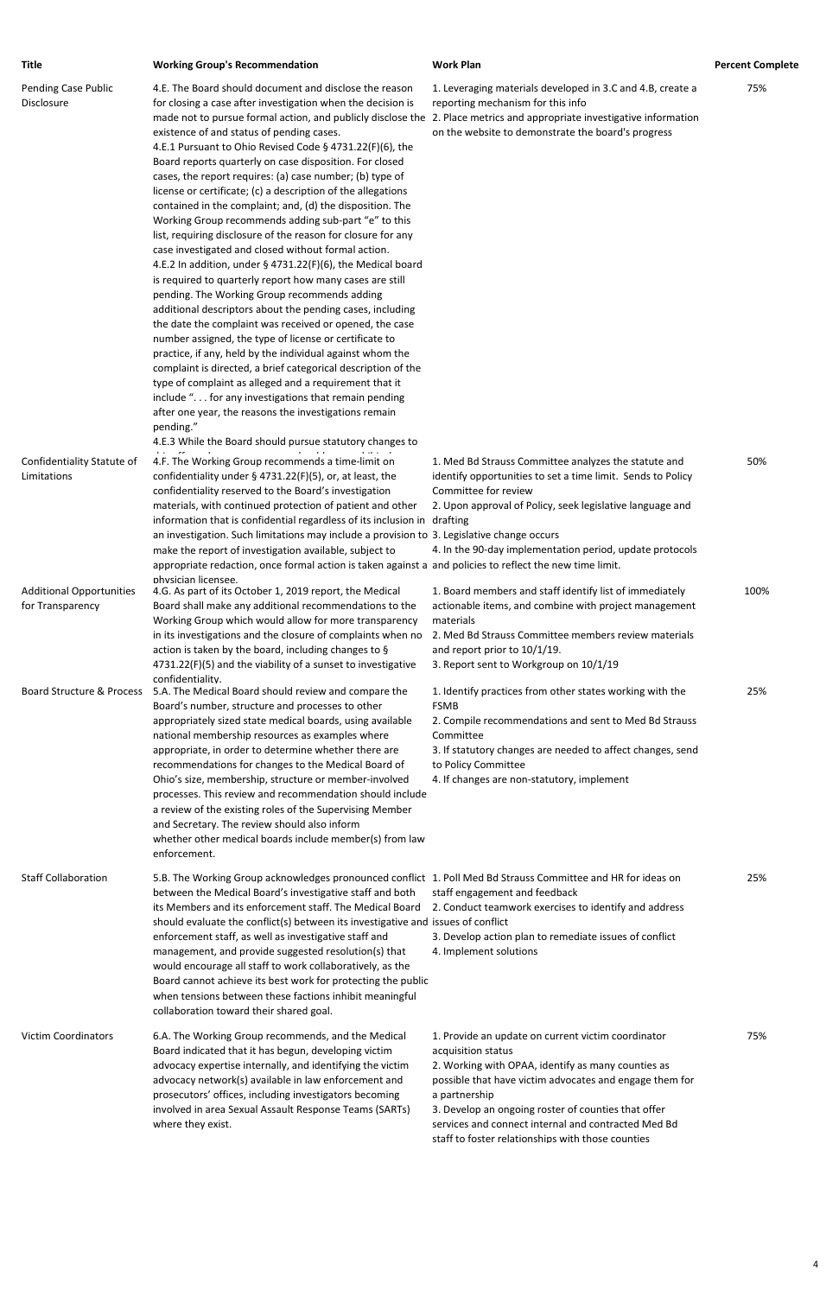| Title                                               | <b>Working Group's Recommendation</b>                                                                                                                                                                                                                                                                                                                                                                                                                                                                                                                                                                                                                                                                                                                                                                                                                                                                                                                                                                                                                                                                                                                                                                                                                                                                                                                                                                                                                                                                                                       | <b>Work Plan</b>                                                                                                                                                                                                                                                                 | <b>Percent Complete</b> |
|-----------------------------------------------------|---------------------------------------------------------------------------------------------------------------------------------------------------------------------------------------------------------------------------------------------------------------------------------------------------------------------------------------------------------------------------------------------------------------------------------------------------------------------------------------------------------------------------------------------------------------------------------------------------------------------------------------------------------------------------------------------------------------------------------------------------------------------------------------------------------------------------------------------------------------------------------------------------------------------------------------------------------------------------------------------------------------------------------------------------------------------------------------------------------------------------------------------------------------------------------------------------------------------------------------------------------------------------------------------------------------------------------------------------------------------------------------------------------------------------------------------------------------------------------------------------------------------------------------------|----------------------------------------------------------------------------------------------------------------------------------------------------------------------------------------------------------------------------------------------------------------------------------|-------------------------|
| <b>Pending Case Public</b><br>Disclosure            | 4.E. The Board should document and disclose the reason<br>for closing a case after investigation when the decision is<br>made not to pursue formal action, and publicly disclose the 2. Place metrics and appropriate investigative information<br>existence of and status of pending cases.<br>4.E.1 Pursuant to Ohio Revised Code § 4731.22(F)(6), the<br>Board reports quarterly on case disposition. For closed<br>cases, the report requires: (a) case number; (b) type of<br>license or certificate; (c) a description of the allegations<br>contained in the complaint; and, (d) the disposition. The<br>Working Group recommends adding sub-part "e" to this<br>list, requiring disclosure of the reason for closure for any<br>case investigated and closed without formal action.<br>4.E.2 In addition, under § 4731.22(F)(6), the Medical board<br>is required to quarterly report how many cases are still<br>pending. The Working Group recommends adding<br>additional descriptors about the pending cases, including<br>the date the complaint was received or opened, the case<br>number assigned, the type of license or certificate to<br>practice, if any, held by the individual against whom the<br>complaint is directed, a brief categorical description of the<br>type of complaint as alleged and a requirement that it<br>include ". for any investigations that remain pending<br>after one year, the reasons the investigations remain<br>pending."<br>4.E.3 While the Board should pursue statutory changes to | 1. Leveraging materials developed in 3.C and 4.B, create a<br>reporting mechanism for this info<br>on the website to demonstrate the board's progress                                                                                                                            | 75%                     |
| Confidentiality Statute of<br>Limitations           | 4.F. The Working Group recommends a time-limit on<br>confidentiality under $\S$ 4731.22(F)(5), or, at least, the<br>confidentiality reserved to the Board's investigation<br>materials, with continued protection of patient and other<br>information that is confidential regardless of its inclusion in drafting<br>an investigation. Such limitations may include a provision to 3. Legislative change occurs<br>make the report of investigation available, subject to<br>appropriate redaction, once formal action is taken against a and policies to reflect the new time limit.                                                                                                                                                                                                                                                                                                                                                                                                                                                                                                                                                                                                                                                                                                                                                                                                                                                                                                                                                      | 1. Med Bd Strauss Committee analyzes the statute and<br>identify opportunities to set a time limit. Sends to Policy<br>Committee for review<br>2. Upon approval of Policy, seek legislative language and<br>4. In the 90-day implementation period, update protocols             | 50%                     |
| <b>Additional Opportunities</b><br>for Transparency | physician licensee.<br>4.G. As part of its October 1, 2019 report, the Medical<br>Board shall make any additional recommendations to the<br>Working Group which would allow for more transparency<br>in its investigations and the closure of complaints when no<br>action is taken by the board, including changes to §<br>4731.22(F)(5) and the viability of a sunset to investigative                                                                                                                                                                                                                                                                                                                                                                                                                                                                                                                                                                                                                                                                                                                                                                                                                                                                                                                                                                                                                                                                                                                                                    | 1. Board members and staff identify list of immediately<br>actionable items, and combine with project management<br>materials<br>2. Med Bd Strauss Committee members review materials<br>and report prior to 10/1/19.<br>3. Report sent to Workgroup on 10/1/19                  | 100%                    |
| Board Structure & Process                           | confidentiality.<br>5.A. The Medical Board should review and compare the<br>Board's number, structure and processes to other<br>appropriately sized state medical boards, using available<br>national membership resources as examples where<br>appropriate, in order to determine whether there are<br>recommendations for changes to the Medical Board of<br>Ohio's size, membership, structure or member-involved<br>processes. This review and recommendation should include<br>a review of the existing roles of the Supervising Member<br>and Secretary. The review should also inform<br>whether other medical boards include member(s) from law<br>enforcement.                                                                                                                                                                                                                                                                                                                                                                                                                                                                                                                                                                                                                                                                                                                                                                                                                                                                     | 1. Identify practices from other states working with the<br><b>FSMB</b><br>2. Compile recommendations and sent to Med Bd Strauss<br>Committee<br>3. If statutory changes are needed to affect changes, send<br>to Policy Committee<br>4. If changes are non-statutory, implement | 25%                     |
| <b>Staff Collaboration</b>                          | 5.B. The Working Group acknowledges pronounced conflict 1. Poll Med Bd Strauss Committee and HR for ideas on<br>between the Medical Board's investigative staff and both<br>its Members and its enforcement staff. The Medical Board<br>should evaluate the conflict(s) between its investigative and issues of conflict<br>enforcement staff, as well as investigative staff and                                                                                                                                                                                                                                                                                                                                                                                                                                                                                                                                                                                                                                                                                                                                                                                                                                                                                                                                                                                                                                                                                                                                                           | staff engagement and feedback<br>2. Conduct teamwork exercises to identify and address<br>3. Develop action plan to remediate issues of conflict                                                                                                                                 | 25%                     |

management, and provide suggested resolution(s) that would encourage all staff to work collaboratively, as the Board cannot achieve its best work for protecting the public when tensions between these factions inhibit meaningful collaboration toward their shared goal.

4. Implement solutions

Victim Coordinators 6.A. The Working Group recommends, and the Medical Board indicated that it has begun, developing victim advocacy expertise internally, and identifying the victim advocacy network(s) available in law enforcement and prosecutors' offices, including investigators becoming involved in area Sexual Assault Response Teams (SARTs) where they exist.

1. Provide an update on current victim coordinator acquisition status

2. Working with OPAA, identify as many counties as possible that have victim advocates and engage them for a partnership

3. Develop an ongoing roster of counties that offer services and connect internal and contracted Med Bd staff to foster relationships with those counties